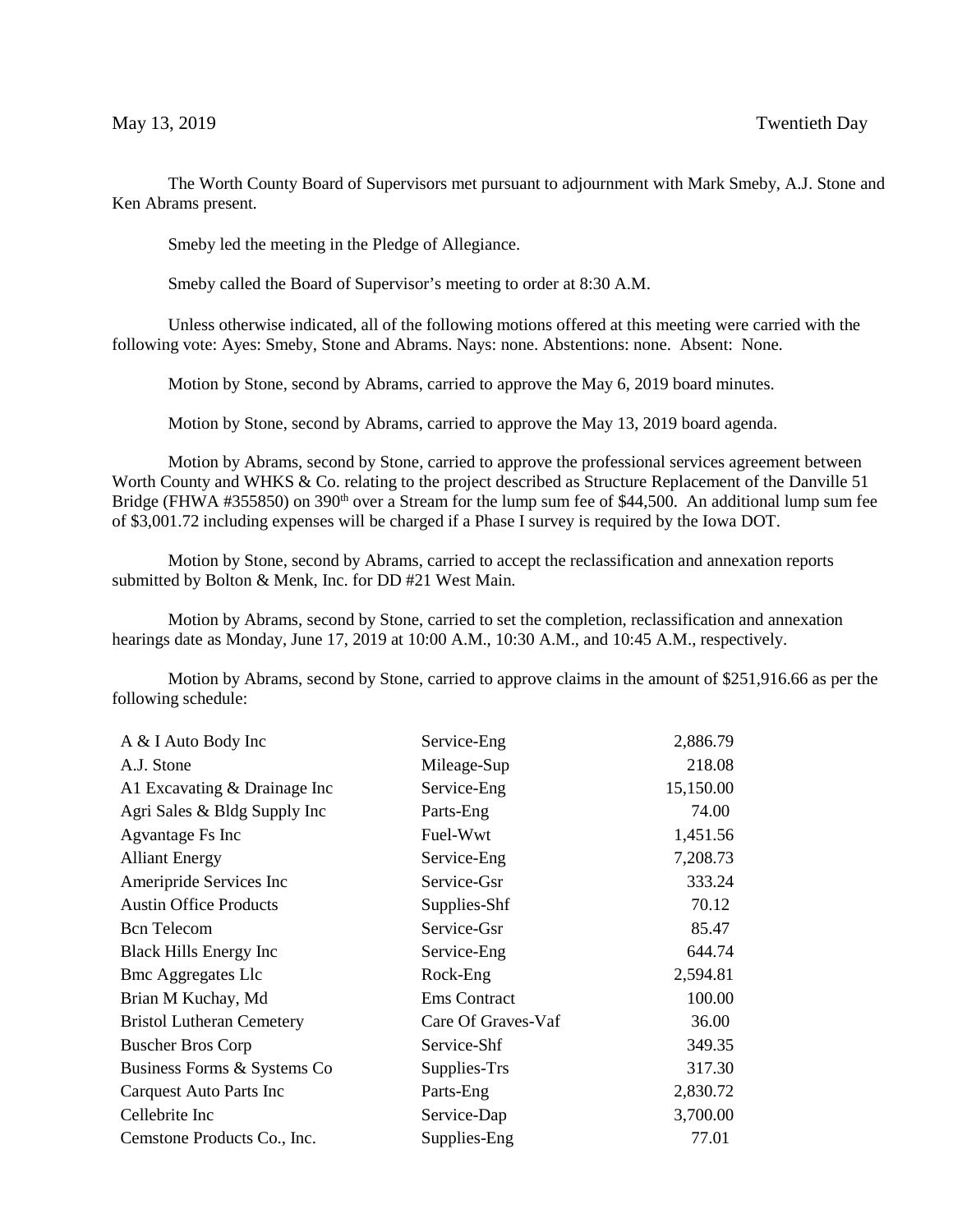The Worth County Board of Supervisors met pursuant to adjournment with Mark Smeby, A.J. Stone and Ken Abrams present.

Smeby led the meeting in the Pledge of Allegiance.

Smeby called the Board of Supervisor's meeting to order at 8:30 A.M.

Unless otherwise indicated, all of the following motions offered at this meeting were carried with the following vote: Ayes: Smeby, Stone and Abrams. Nays: none. Abstentions: none. Absent: None.

Motion by Stone, second by Abrams, carried to approve the May 6, 2019 board minutes.

Motion by Stone, second by Abrams, carried to approve the May 13, 2019 board agenda.

Motion by Abrams, second by Stone, carried to approve the professional services agreement between Worth County and WHKS & Co. relating to the project described as Structure Replacement of the Danville 51 Bridge (FHWA #355850) on 390<sup>th</sup> over a Stream for the lump sum fee of \$44,500. An additional lump sum fee of \$3,001.72 including expenses will be charged if a Phase I survey is required by the Iowa DOT.

Motion by Stone, second by Abrams, carried to accept the reclassification and annexation reports submitted by Bolton & Menk, Inc. for DD #21 West Main.

Motion by Abrams, second by Stone, carried to set the completion, reclassification and annexation hearings date as Monday, June 17, 2019 at 10:00 A.M., 10:30 A.M., and 10:45 A.M., respectively.

Motion by Abrams, second by Stone, carried to approve claims in the amount of \$251,916.66 as per the following schedule:

| A & I Auto Body Inc              | Service-Eng         | 2,886.79  |
|----------------------------------|---------------------|-----------|
| A.J. Stone                       | Mileage-Sup         | 218.08    |
| A1 Excavating & Drainage Inc     | Service-Eng         | 15,150.00 |
| Agri Sales & Bldg Supply Inc     | Parts-Eng           | 74.00     |
| Agvantage Fs Inc                 | Fuel-Wwt            | 1,451.56  |
| <b>Alliant Energy</b>            | Service-Eng         | 7,208.73  |
| Ameripride Services Inc          | Service-Gsr         | 333.24    |
| <b>Austin Office Products</b>    | Supplies-Shf        | 70.12     |
| <b>Bcn</b> Telecom               | Service-Gsr         | 85.47     |
| <b>Black Hills Energy Inc</b>    | Service-Eng         | 644.74    |
| <b>Bmc Aggregates Llc</b>        | Rock-Eng            | 2,594.81  |
| Brian M Kuchay, Md               | <b>Ems Contract</b> | 100.00    |
| <b>Bristol Lutheran Cemetery</b> | Care Of Graves-Vaf  | 36.00     |
| <b>Buscher Bros Corp</b>         | Service-Shf         | 349.35    |
| Business Forms & Systems Co.     | Supplies-Trs        | 317.30    |
| Carquest Auto Parts Inc          | Parts-Eng           | 2,830.72  |
| Cellebrite Inc                   | Service-Dap         | 3,700.00  |
| Cemstone Products Co., Inc.      | Supplies-Eng        | 77.01     |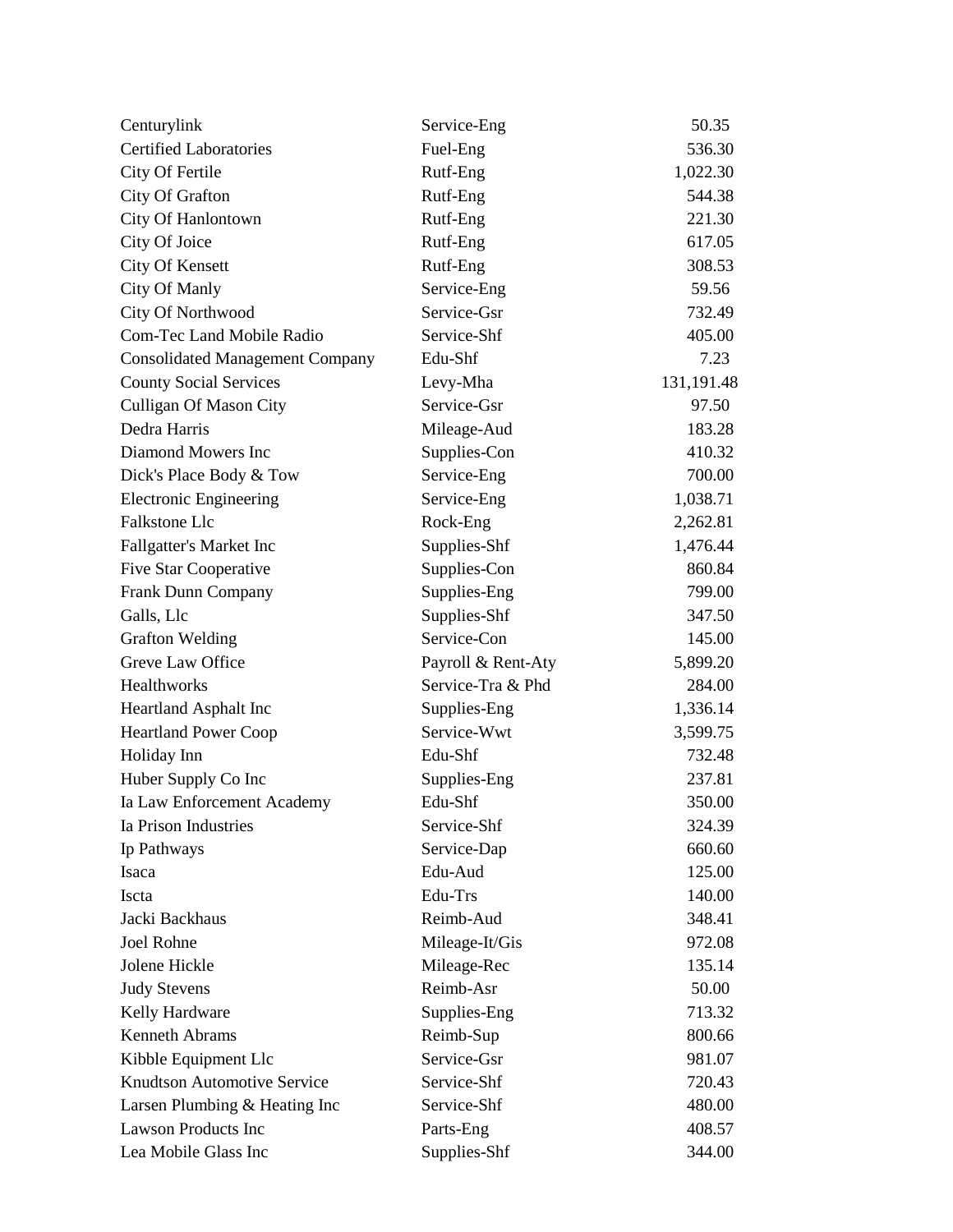| Centurylink                            | Service-Eng        | 50.35      |
|----------------------------------------|--------------------|------------|
| <b>Certified Laboratories</b>          | Fuel-Eng           | 536.30     |
| City Of Fertile                        | Rutf-Eng           | 1,022.30   |
| City Of Grafton                        | Rutf-Eng           | 544.38     |
| City Of Hanlontown                     | Rutf-Eng           | 221.30     |
| City Of Joice                          | Rutf-Eng           | 617.05     |
| <b>City Of Kensett</b>                 | Rutf-Eng           | 308.53     |
| City Of Manly                          | Service-Eng        | 59.56      |
| City Of Northwood                      | Service-Gsr        | 732.49     |
| <b>Com-Tec Land Mobile Radio</b>       | Service-Shf        | 405.00     |
| <b>Consolidated Management Company</b> | Edu-Shf            | 7.23       |
| <b>County Social Services</b>          | Levy-Mha           | 131,191.48 |
| <b>Culligan Of Mason City</b>          | Service-Gsr        | 97.50      |
| Dedra Harris                           | Mileage-Aud        | 183.28     |
| Diamond Mowers Inc                     | Supplies-Con       | 410.32     |
| Dick's Place Body & Tow                | Service-Eng        | 700.00     |
| <b>Electronic Engineering</b>          | Service-Eng        | 1,038.71   |
| <b>Falkstone Llc</b>                   | Rock-Eng           | 2,262.81   |
| Fallgatter's Market Inc                | Supplies-Shf       | 1,476.44   |
| <b>Five Star Cooperative</b>           | Supplies-Con       | 860.84     |
| Frank Dunn Company                     | Supplies-Eng       | 799.00     |
| Galls, Llc                             | Supplies-Shf       | 347.50     |
| <b>Grafton Welding</b>                 | Service-Con        | 145.00     |
| Greve Law Office                       | Payroll & Rent-Aty | 5,899.20   |
| Healthworks                            | Service-Tra & Phd  | 284.00     |
| <b>Heartland Asphalt Inc</b>           | Supplies-Eng       | 1,336.14   |
| <b>Heartland Power Coop</b>            | Service-Wwt        | 3,599.75   |
| Holiday Inn                            | Edu-Shf            | 732.48     |
| Huber Supply Co Inc                    | Supplies-Eng       | 237.81     |
| Ia Law Enforcement Academy             | Edu-Shf            | 350.00     |
| Ia Prison Industries                   | Service-Shf        | 324.39     |
| Ip Pathways                            | Service-Dap        | 660.60     |
| Isaca                                  | Edu-Aud            | 125.00     |
| Iscta                                  | Edu-Trs            | 140.00     |
| Jacki Backhaus                         | Reimb-Aud          | 348.41     |
| Joel Rohne                             | Mileage-It/Gis     | 972.08     |
| Jolene Hickle                          | Mileage-Rec        | 135.14     |
| <b>Judy Stevens</b>                    | Reimb-Asr          | 50.00      |
| Kelly Hardware                         | Supplies-Eng       | 713.32     |
| <b>Kenneth Abrams</b>                  | Reimb-Sup          | 800.66     |
| Kibble Equipment Llc                   | Service-Gsr        | 981.07     |
| <b>Knudtson Automotive Service</b>     | Service-Shf        | 720.43     |
| Larsen Plumbing & Heating Inc          | Service-Shf        | 480.00     |
| <b>Lawson Products Inc</b>             | Parts-Eng          | 408.57     |
| Lea Mobile Glass Inc                   | Supplies-Shf       | 344.00     |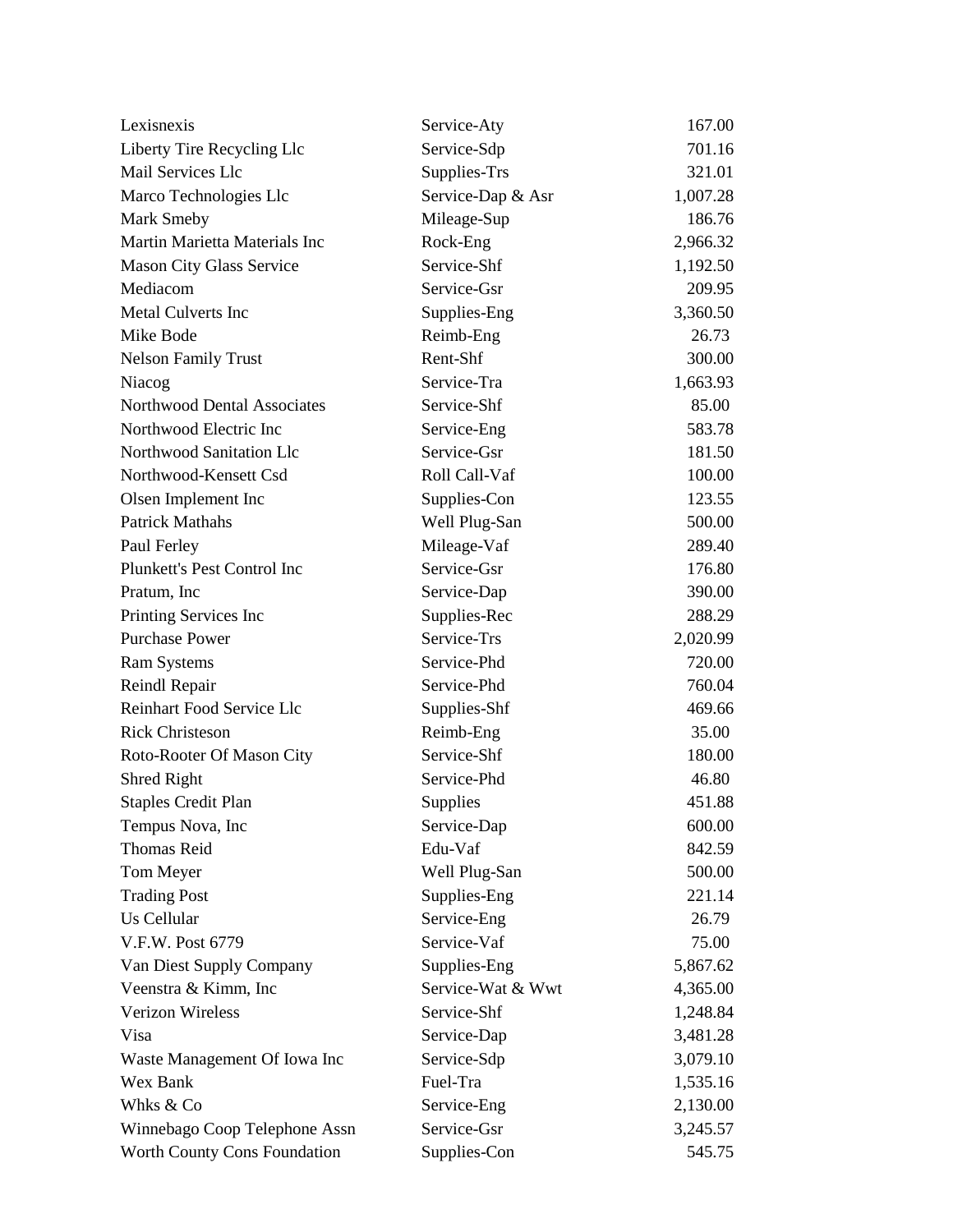| Lexisnexis                         | Service-Aty       | 167.00   |
|------------------------------------|-------------------|----------|
| Liberty Tire Recycling Llc         | Service-Sdp       | 701.16   |
| Mail Services Llc                  | Supplies-Trs      | 321.01   |
| Marco Technologies Llc             | Service-Dap & Asr | 1,007.28 |
| Mark Smeby                         | Mileage-Sup       | 186.76   |
| Martin Marietta Materials Inc      | Rock-Eng          | 2,966.32 |
| <b>Mason City Glass Service</b>    | Service-Shf       | 1,192.50 |
| Mediacom                           | Service-Gsr       | 209.95   |
| <b>Metal Culverts Inc</b>          | Supplies-Eng      | 3,360.50 |
| Mike Bode                          | Reimb-Eng         | 26.73    |
| <b>Nelson Family Trust</b>         | Rent-Shf          | 300.00   |
| Niacog                             | Service-Tra       | 1,663.93 |
| <b>Northwood Dental Associates</b> | Service-Shf       | 85.00    |
| Northwood Electric Inc             | Service-Eng       | 583.78   |
| Northwood Sanitation Llc           | Service-Gsr       | 181.50   |
| Northwood-Kensett Csd              | Roll Call-Vaf     | 100.00   |
| Olsen Implement Inc                | Supplies-Con      | 123.55   |
| <b>Patrick Mathahs</b>             | Well Plug-San     | 500.00   |
| Paul Ferley                        | Mileage-Vaf       | 289.40   |
| Plunkett's Pest Control Inc        | Service-Gsr       | 176.80   |
| Pratum, Inc                        | Service-Dap       | 390.00   |
| Printing Services Inc              | Supplies-Rec      | 288.29   |
| <b>Purchase Power</b>              | Service-Trs       | 2,020.99 |
| <b>Ram Systems</b>                 | Service-Phd       | 720.00   |
| Reindl Repair                      | Service-Phd       | 760.04   |
| Reinhart Food Service Llc          | Supplies-Shf      | 469.66   |
| <b>Rick Christeson</b>             | Reimb-Eng         | 35.00    |
| Roto-Rooter Of Mason City          | Service-Shf       | 180.00   |
| Shred Right                        | Service-Phd       | 46.80    |
| <b>Staples Credit Plan</b>         | Supplies          | 451.88   |
| Tempus Nova, Inc                   | Service-Dap       | 600.00   |
| <b>Thomas Reid</b>                 | Edu-Vaf           | 842.59   |
| Tom Meyer                          | Well Plug-San     | 500.00   |
| <b>Trading Post</b>                | Supplies-Eng      | 221.14   |
| <b>Us Cellular</b>                 | Service-Eng       | 26.79    |
| V.F.W. Post 6779                   | Service-Vaf       | 75.00    |
| Van Diest Supply Company           | Supplies-Eng      | 5,867.62 |
| Veenstra & Kimm, Inc               | Service-Wat & Wwt | 4,365.00 |
| <b>Verizon Wireless</b>            | Service-Shf       | 1,248.84 |
| Visa                               | Service-Dap       | 3,481.28 |
| Waste Management Of Iowa Inc       | Service-Sdp       | 3,079.10 |
| Wex Bank                           | Fuel-Tra          | 1,535.16 |
| Whks & Co                          | Service-Eng       | 2,130.00 |
| Winnebago Coop Telephone Assn      | Service-Gsr       | 3,245.57 |
| Worth County Cons Foundation       | Supplies-Con      | 545.75   |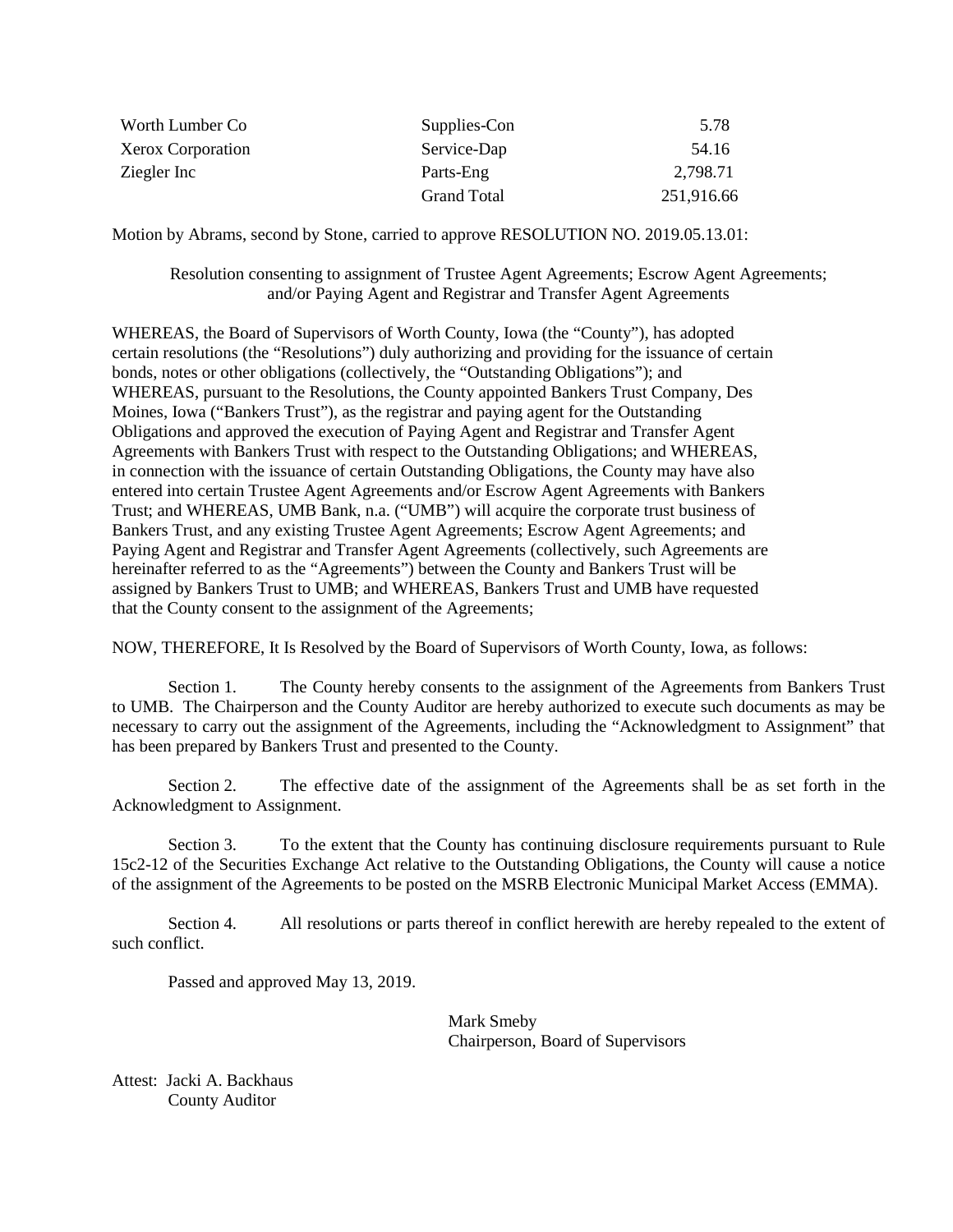| Worth Lumber Co   | Supplies-Con       | 5.78       |
|-------------------|--------------------|------------|
| Xerox Corporation | Service-Dap        | 54.16      |
| Ziegler Inc       | Parts-Eng          | 2,798.71   |
|                   | <b>Grand Total</b> | 251,916.66 |

Motion by Abrams, second by Stone, carried to approve RESOLUTION NO. 2019.05.13.01:

Resolution consenting to assignment of Trustee Agent Agreements; Escrow Agent Agreements; and/or Paying Agent and Registrar and Transfer Agent Agreements

WHEREAS, the Board of Supervisors of Worth County, Iowa (the "County"), has adopted certain resolutions (the "Resolutions") duly authorizing and providing for the issuance of certain bonds, notes or other obligations (collectively, the "Outstanding Obligations"); and WHEREAS, pursuant to the Resolutions, the County appointed Bankers Trust Company, Des Moines, Iowa ("Bankers Trust"), as the registrar and paying agent for the Outstanding Obligations and approved the execution of Paying Agent and Registrar and Transfer Agent Agreements with Bankers Trust with respect to the Outstanding Obligations; and WHEREAS, in connection with the issuance of certain Outstanding Obligations, the County may have also entered into certain Trustee Agent Agreements and/or Escrow Agent Agreements with Bankers Trust; and WHEREAS, UMB Bank, n.a. ("UMB") will acquire the corporate trust business of Bankers Trust, and any existing Trustee Agent Agreements; Escrow Agent Agreements; and Paying Agent and Registrar and Transfer Agent Agreements (collectively, such Agreements are hereinafter referred to as the "Agreements") between the County and Bankers Trust will be assigned by Bankers Trust to UMB; and WHEREAS, Bankers Trust and UMB have requested that the County consent to the assignment of the Agreements;

NOW, THEREFORE, It Is Resolved by the Board of Supervisors of Worth County, Iowa, as follows:

Section 1. The County hereby consents to the assignment of the Agreements from Bankers Trust to UMB. The Chairperson and the County Auditor are hereby authorized to execute such documents as may be necessary to carry out the assignment of the Agreements, including the "Acknowledgment to Assignment" that has been prepared by Bankers Trust and presented to the County.

Section 2. The effective date of the assignment of the Agreements shall be as set forth in the Acknowledgment to Assignment.

Section 3. To the extent that the County has continuing disclosure requirements pursuant to Rule 15c2-12 of the Securities Exchange Act relative to the Outstanding Obligations, the County will cause a notice of the assignment of the Agreements to be posted on the MSRB Electronic Municipal Market Access (EMMA).

Section 4. All resolutions or parts thereof in conflict herewith are hereby repealed to the extent of such conflict.

Passed and approved May 13, 2019.

Mark Smeby Chairperson, Board of Supervisors

Attest: Jacki A. Backhaus County Auditor